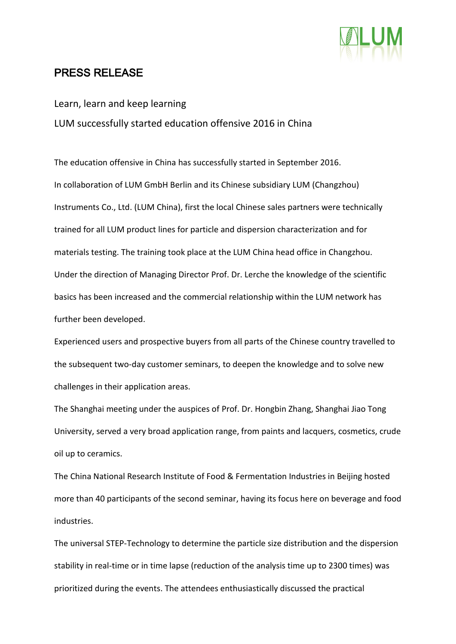

## PRESS RELEASE

Learn, learn and keep learning LUM successfully started education offensive 2016 in China

The education offensive in China has successfully started in September 2016. In collaboration of LUM GmbH Berlin and its Chinese subsidiary LUM (Changzhou) Instruments Co., Ltd. (LUM China), first the local Chinese sales partners were technically trained for all LUM product lines for particle and dispersion characterization and for materials testing. The training took place at the LUM China head office in Changzhou. Under the direction of Managing Director Prof. Dr. Lerche the knowledge of the scientific basics has been increased and the commercial relationship within the LUM network has further been developed.

Experienced users and prospective buyers from all parts of the Chinese country travelled to the subsequent two-day customer seminars, to deepen the knowledge and to solve new challenges in their application areas.

The Shanghai meeting under the auspices of Prof. Dr. Hongbin Zhang, Shanghai Jiao Tong University, served a very broad application range, from paints and lacquers, cosmetics, crude oil up to ceramics.

The China National Research Institute of Food & Fermentation Industries in Beijing hosted more than 40 participants of the second seminar, having its focus here on beverage and food industries.

The universal STEP-Technology to determine the particle size distribution and the dispersion stability in real-time or in time lapse (reduction of the analysis time up to 2300 times) was prioritized during the events. The attendees enthusiastically discussed the practical